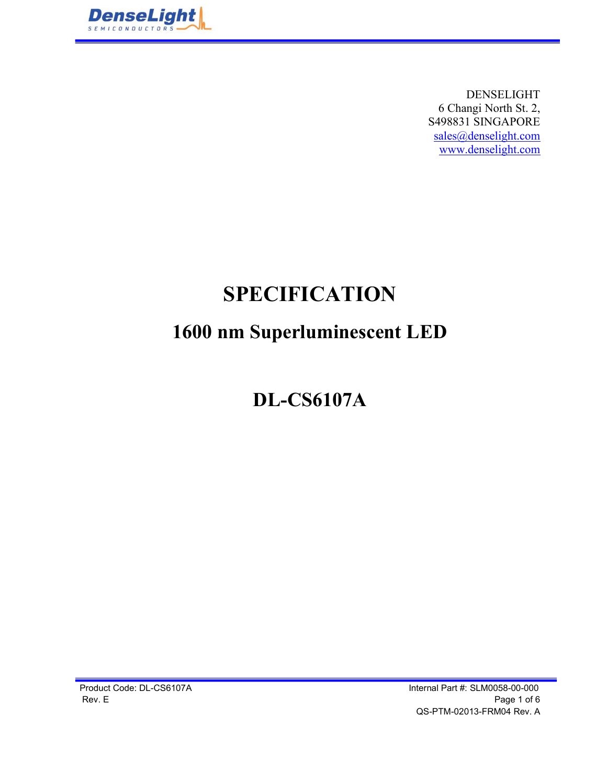

DENSELIGHT 6 Changi North St. 2, S498831 SINGAPORE sales@denselight.com www.denselight.com

# SPECIFICATION

## 1600 nm Superluminescent LED

# DL-CS6107A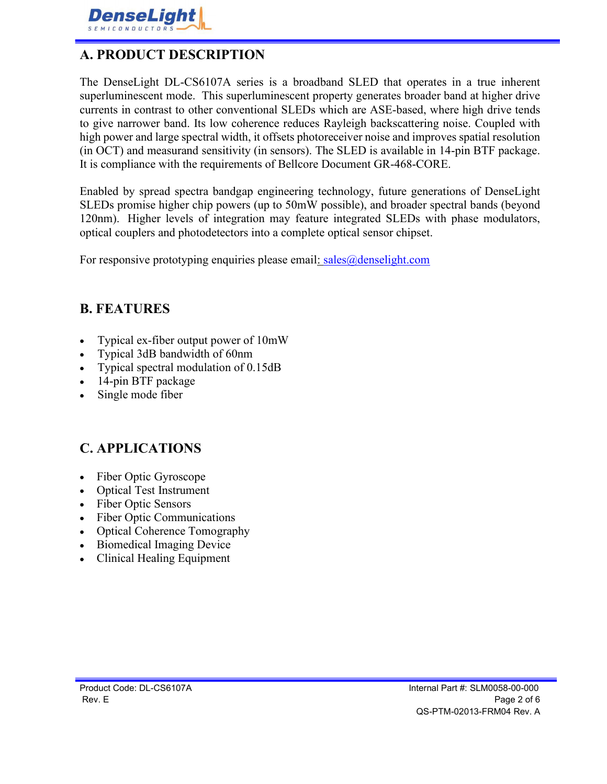

#### A. PRODUCT DESCRIPTION

The DenseLight DL-CS6107A series is a broadband SLED that operates in a true inherent superluminescent mode. This superluminescent property generates broader band at higher drive currents in contrast to other conventional SLEDs which are ASE-based, where high drive tends to give narrower band. Its low coherence reduces Rayleigh backscattering noise. Coupled with high power and large spectral width, it offsets photoreceiver noise and improves spatial resolution (in OCT) and measurand sensitivity (in sensors). The SLED is available in 14-pin BTF package. It is compliance with the requirements of Bellcore Document GR-468-CORE.

Enabled by spread spectra bandgap engineering technology, future generations of DenseLight SLEDs promise higher chip powers (up to 50mW possible), and broader spectral bands (beyond 120nm). Higher levels of integration may feature integrated SLEDs with phase modulators, optical couplers and photodetectors into a complete optical sensor chipset.

For responsive prototyping enquiries please email: sales@denselight.com

#### B. FEATURES

- Typical ex-fiber output power of 10mW
- Typical 3dB bandwidth of 60nm
- Typical spectral modulation of 0.15dB
- 14-pin BTF package
- Single mode fiber

#### C. APPLICATIONS

- Fiber Optic Gyroscope
- Optical Test Instrument
- Fiber Optic Sensors
- Fiber Optic Communications  $\bullet$
- Optical Coherence Tomography
- Biomedical Imaging Device
- Clinical Healing Equipment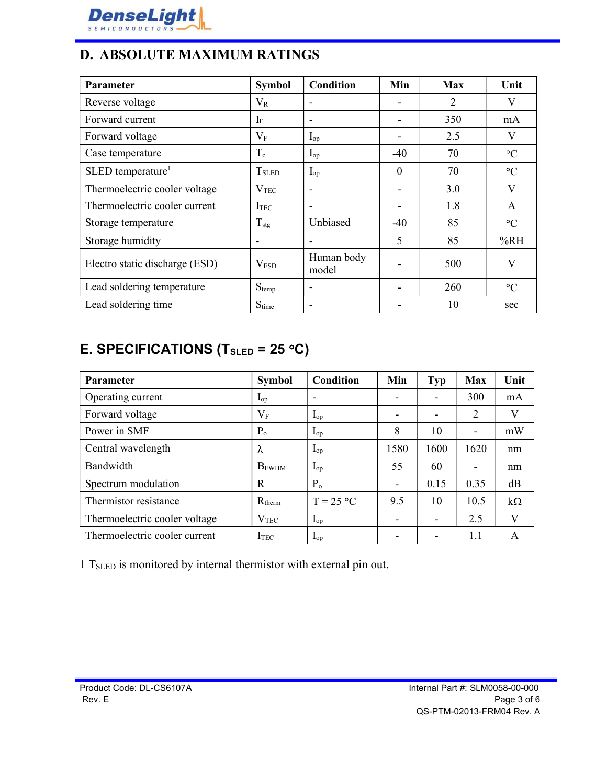

#### D. ABSOLUTE MAXIMUM RATINGS

| Parameter                       | <b>Symbol</b>               | <b>Condition</b>         | Min                      | <b>Max</b>     | Unit            |
|---------------------------------|-----------------------------|--------------------------|--------------------------|----------------|-----------------|
| Reverse voltage                 | $V_{R}$                     | $\overline{\phantom{a}}$ | $\overline{\phantom{a}}$ | $\overline{2}$ | V               |
| Forward current                 | $I_{\rm F}$                 | $\overline{\phantom{a}}$ |                          | 350            | mA              |
| Forward voltage                 | $V_{\rm F}$                 | $I_{op}$                 |                          | 2.5            | V               |
| Case temperature                | $T_c$                       | $\mathbf{I}_{op}$        | $-40$                    | 70             | $\rm ^{\circ}C$ |
| $SLED$ temperature <sup>1</sup> | $T_{\scriptstyle \rm SLED}$ | $I_{op}$                 | $\mathbf{0}$             | 70             | $\rm ^{\circ}C$ |
| Thermoelectric cooler voltage   | $\rm V_{TEC}$               | $\overline{\phantom{a}}$ |                          | 3.0            | V               |
| Thermoelectric cooler current   | I <sub>TEC</sub>            | $\overline{\phantom{a}}$ |                          | 1.8            | A               |
| Storage temperature             | $T_{\text{stg}}$            | Unbiased                 | $-40$                    | 85             | $\rm ^{\circ}C$ |
| Storage humidity                | $\overline{\phantom{a}}$    | $\overline{\phantom{a}}$ | 5                        | 85             | %RH             |
| Electro static discharge (ESD)  | V <sub>ESD</sub>            | Human body<br>model      |                          | 500            | V               |
| Lead soldering temperature      | $S_{temp}$                  | $\overline{\phantom{a}}$ |                          | 260            | $\rm ^{\circ}C$ |
| Lead soldering time             | Stime                       | $\overline{\phantom{a}}$ |                          | 10             | sec             |

### E. SPECIFICATIONS (T<sub>SLED</sub> = 25 °C)

| <b>Parameter</b>              | <b>Symbol</b>            | Condition                | Min                      | <b>Typ</b> | <b>Max</b>               | Unit      |
|-------------------------------|--------------------------|--------------------------|--------------------------|------------|--------------------------|-----------|
| Operating current             | $\mathbf{L}_{\text{op}}$ | $\overline{\phantom{a}}$ | $\overline{\phantom{a}}$ | -          | 300                      | mA        |
| Forward voltage               | $V_{F}$                  | $\mathbf{I}_{op}$        | $\overline{\phantom{a}}$ | -          | $\overline{2}$           | V         |
| Power in SMF                  | $P_{o}$                  | $\mathbf{I}_{\text{op}}$ | 8                        | 10         | ۰                        | mW        |
| Central wavelength            | λ                        | $\mathbf{I}_{op}$        | 1580                     | 1600       | 1620                     | nm        |
| Bandwidth                     | $B_{FWHM}$               | $\mathbf{I}_{op}$        | 55                       | 60         | $\overline{\phantom{a}}$ | nm        |
| Spectrum modulation           | $\mathbb{R}$             | $P_{o}$                  | $\overline{\phantom{a}}$ | 0.15       | 0.35                     | dB        |
| Thermistor resistance         | $R_{therm}$              | $T = 25 °C$              | 9.5                      | 10         | 10.5                     | $k\Omega$ |
| Thermoelectric cooler voltage | V <sub>TEC</sub>         | $\mathbf{L}_{\text{op}}$ | -                        | -          | 2.5                      | V         |
| Thermoelectric cooler current | $I_{TEC}$                | $\mathbf{I}_{op}$        | $\overline{\phantom{a}}$ | ۰          | 1.1                      | A         |

1 TSLED is monitored by internal thermistor with external pin out.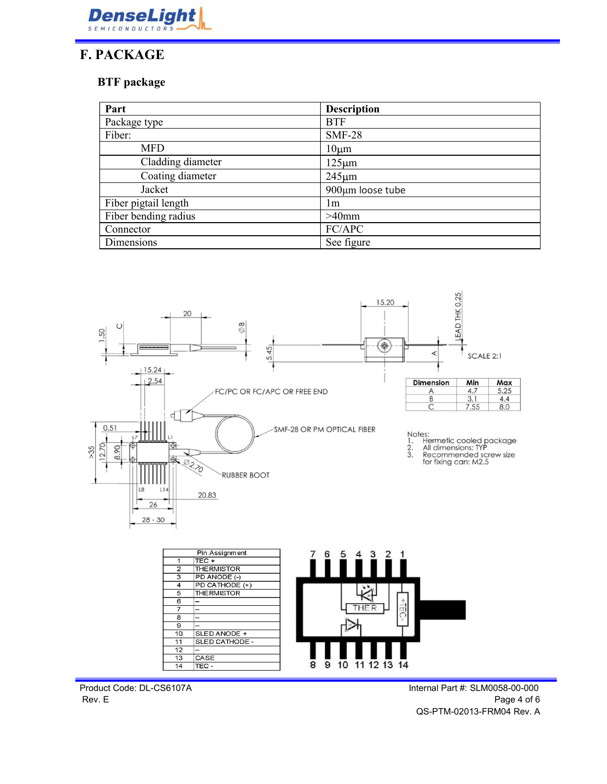

#### F. PACKAGE

#### BTF package

| Part                 | <b>Description</b> |  |
|----------------------|--------------------|--|
| Package type         | <b>BTF</b>         |  |
| Fiber:               | <b>SMF-28</b>      |  |
| <b>MFD</b>           | $10 \mu m$         |  |
| Cladding diameter    | $125 \mu m$        |  |
| Coating diameter     | $245 \mu m$        |  |
| Jacket               | 900µm loose tube   |  |
| Fiber pigtail length | lm                 |  |
| Fiber bending radius | $>40$ mm           |  |
| Connector            | FC/APC             |  |
| Dimensions           | See figure         |  |



 $\overline{8}$ 

 $\overline{9}$  10 11 12 13 14

 $12$ 

 $\overline{13}$ 

 $14$ 

CASE<br>TEC-

Product Code: DL-CS6107A **Internal Part #: SLM0058-00-000** Rev. E Page 4 of 6 QS-PTM-02013-FRM04 Rev. A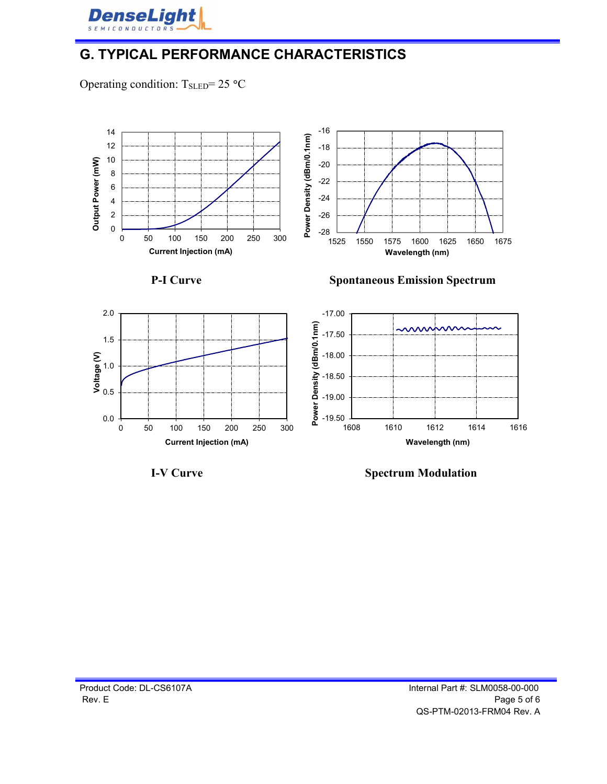

#### G. TYPICAL PERFORMANCE CHARACTERISTICS

Operating condition:  $T_{\text{SLED}} = 25 \text{ °C}$ 





I-V Curve Spectrum Modulation